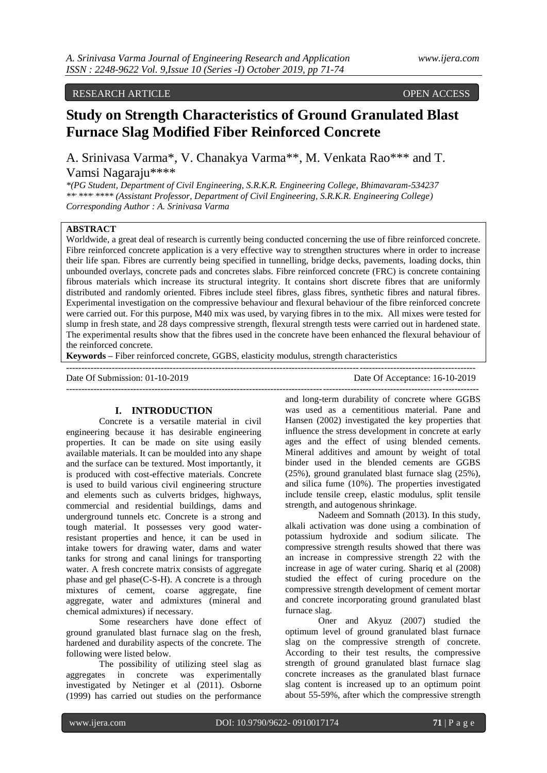## RESEARCH ARTICLE OPEN ACCESS

# **Study on Strength Characteristics of Ground Granulated Blast Furnace Slag Modified Fiber Reinforced Concrete**

A. Srinivasa Varma\*, V. Chanakya Varma\*\*, M. Venkata Rao\*\*\* and T. Vamsi Nagaraju\*\*\*\*

*\*(PG Student, Department of Civil Engineering, S.R.K.R. Engineering College, Bhimavaram-534237 \*\*, \*\*\*, \*\*\*\* (Assistant Professor, Department of Civil Engineering, S.R.K.R. Engineering College) Corresponding Author : A. Srinivasa Varma*

# **ABSTRACT**

Worldwide, a great deal of research is currently being conducted concerning the use of fibre reinforced concrete. Fibre reinforced concrete application is a very effective way to strengthen structures where in order to increase their life span. Fibres are currently being specified in tunnelling, bridge decks, pavements, loading docks, thin unbounded overlays, concrete pads and concretes slabs. Fibre reinforced concrete (FRC) is concrete containing fibrous materials which increase its structural integrity. It contains short discrete fibres that are uniformly distributed and randomly oriented. Fibres include steel fibres, glass fibres, synthetic fibres and natural fibres. Experimental investigation on the compressive behaviour and flexural behaviour of the fibre reinforced concrete were carried out. For this purpose, M40 mix was used, by varying fibres in to the mix. All mixes were tested for slump in fresh state, and 28 days compressive strength, flexural strength tests were carried out in hardened state. The experimental results show that the fibres used in the concrete have been enhanced the flexural behaviour of the reinforced concrete.

--------------------------------------------------------------------------------------------------------------------------------------

---------------------------------------------------------------------------------------------------------------------------------------

**Keywords –** Fiber reinforced concrete, GGBS, elasticity modulus, strength characteristics

Date Of Submission: 01-10-2019 Date Of Acceptance: 16-10-2019

## **I. INTRODUCTION**

Concrete is a versatile material in civil engineering because it has desirable engineering properties. It can be made on site using easily available materials. It can be moulded into any shape and the surface can be textured. Most importantly, it is produced with cost-effective materials. Concrete is used to build various civil engineering structure and elements such as culverts bridges, highways, commercial and residential buildings, dams and underground tunnels etc. Concrete is a strong and tough material. It possesses very good waterresistant properties and hence, it can be used in intake towers for drawing water, dams and water tanks for strong and canal linings for transporting water. A fresh concrete matrix consists of aggregate phase and gel phase(C-S-H). A concrete is a through mixtures of cement, coarse aggregate, fine aggregate, water and admixtures (mineral and chemical admixtures) if necessary.

Some researchers have done effect of ground granulated blast furnace slag on the fresh, hardened and durability aspects of the concrete. The following were listed below.

The possibility of utilizing steel slag as aggregates in concrete was experimentally investigated by Netinger et al (2011). Osborne (1999) has carried out studies on the performance

and long-term durability of concrete where GGBS was used as a cementitious material. Pane and Hansen (2002) investigated the key properties that influence the stress development in concrete at early ages and the effect of using blended cements. Mineral additives and amount by weight of total binder used in the blended cements are GGBS (25%), ground granulated blast furnace slag (25%), and silica fume (10%). The properties investigated include tensile creep, elastic modulus, split tensile strength, and autogenous shrinkage.

Nadeem and Somnath (2013). In this study, alkali activation was done using a combination of potassium hydroxide and sodium silicate. The compressive strength results showed that there was an increase in compressive strength 22 with the increase in age of water curing. Shariq et al (2008) studied the effect of curing procedure on the compressive strength development of cement mortar and concrete incorporating ground granulated blast furnace slag.

Oner and Akyuz (2007) studied the optimum level of ground granulated blast furnace slag on the compressive strength of concrete. According to their test results, the compressive strength of ground granulated blast furnace slag concrete increases as the granulated blast furnace slag content is increased up to an optimum point about 55-59%, after which the compressive strength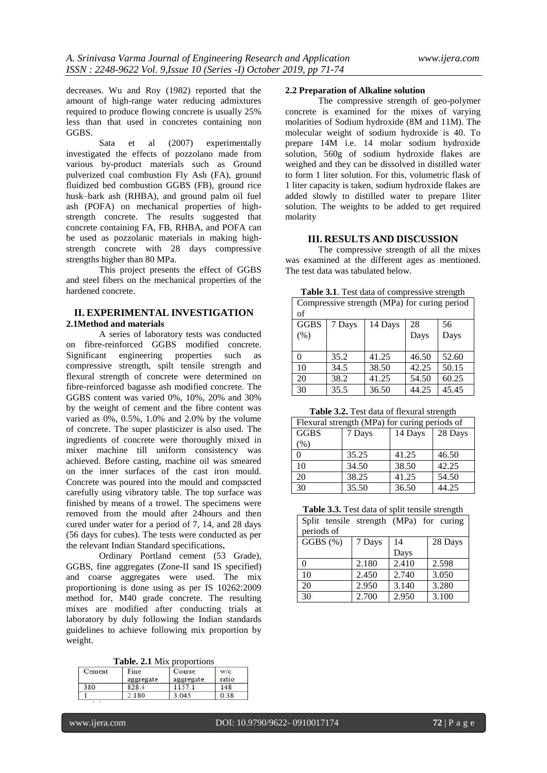decreases. Wu and Roy (1982) reported that the amount of high-range water reducing admixtures required to produce flowing concrete is usually 25% less than that used in concretes containing non GGBS.

Sata et al (2007) experimentally investigated the effects of pozzolano made from various by-product materials such as Ground pulverized coal combustion Fly Ash (FA), ground fluidized bed combustion GGBS (FB), ground rice husk–bark ash (RHBA), and ground palm oil fuel ash (POFA) on mechanical properties of highstrength concrete. The results suggested that concrete containing FA, FB, RHBA, and POFA can be used as pozzolanic materials in making highstrength concrete with 28 days compressive strengths higher than 80 MPa.

This project presents the effect of GGBS and steel fibers on the mechanical properties of the hardened concrete.

# **II. EXPERIMENTAL INVESTIGATION 2.1Method and materials**

A series of laboratory tests was conducted on fibre-reinforced GGBS modified concrete. Significant engineering properties such as compressive strength, spilt tensile strength and flexural strength of concrete were determined on fibre-reinforced bagasse ash modified concrete. The GGBS content was varied 0%, 10%, 20% and 30% by the weight of cement and the fibre content was varied as 0%, 0.5%, 1.0% and 2.0% by the volume of concrete. The super plasticizer is also used. The ingredients of concrete were thoroughly mixed in mixer machine till uniform consistency was achieved. Before casting, machine oil was smeared on the inner surfaces of the cast iron mould. Concrete was poured into the mould and compacted carefully using vibratory table. The top surface was finished by means of a trowel. The specimens were removed from the mould after 24hours and then cured under water for a period of 7, 14, and 28 days (56 days for cubes). The tests were conducted as per the relevant Indian Standard specifications**.**

Ordinary Portland cement (53 Grade), GGBS, fine aggregates (Zone-II sand IS specified) and coarse aggregates were used. The mix proportioning is done using as per IS 10262:2009 method for, M40 grade concrete. The resulting mixes are modified after conducting trials at laboratory by duly following the Indian standards guidelines to achieve following mix proportion by weight.

|  |  |  | Table. 2.1 Mix proportions |
|--|--|--|----------------------------|
|--|--|--|----------------------------|

| Cement | Fine      | Coarse    | w/c   |
|--------|-----------|-----------|-------|
|        | aggregate | aggregate | ratio |
| 380    | 828.4     |           | 148   |
|        | 180       | -045      | 38    |

# **2.2 Preparation of Alkaline solution**

The compressive strength of geo-polymer concrete is examined for the mixes of varying molarities of Sodium hydroxide (8M and 11M). The molecular weight of sodium hydroxide is 40. To prepare 14M i.e. 14 molar sodium hydroxide solution, 560g of sodium hydroxide flakes are weighed and they can be dissolved in distilled water to form 1 liter solution. For this, volumetric flask of 1 liter capacity is taken, sodium hydroxide flakes are added slowly to distilled water to prepare 1liter solution. The weights to be added to get required molarity

## **III. RESULTS AND DISCUSSION**

The compressive strength of all the mixes was examined at the different ages as mentioned. The test data was tabulated below.

| <b>Table 3.1.</b> Test data of compressive strength |  |
|-----------------------------------------------------|--|
|-----------------------------------------------------|--|

| Compressive strength (MPa) for curing period |        |         |       |       |
|----------------------------------------------|--------|---------|-------|-------|
| of                                           |        |         |       |       |
| <b>GGBS</b>                                  | 7 Days | 14 Days | 28    | 56    |
| (% )                                         |        |         | Days  | Days  |
|                                              |        |         |       |       |
| 0                                            | 35.2   | 41.25   | 46.50 | 52.60 |
| 10                                           | 34.5   | 38.50   | 42.25 | 50.15 |
| 20                                           | 38.2   | 41.25   | 54.50 | 60.25 |
| 30                                           | 35.5   | 36.50   | 44.25 | 45.45 |

**Table 3.2.** Test data of flexural strength

| Flexural strength (MPa) for curing periods of |        |         |         |
|-----------------------------------------------|--------|---------|---------|
| <b>GGBS</b>                                   | 7 Days | 14 Days | 28 Days |
| (% )                                          |        |         |         |
| 0                                             | 35.25  | 41.25   | 46.50   |
| 10                                            | 34.50  | 38.50   | 42.25   |
| 20                                            | 38.25  | 41.25   | 54.50   |
| 30                                            | 35.50  | 36.50   | 44.25   |

**Table 3.3.** Test data of split tensile strength

| Split tensile strength (MPa) for curing |        |       |         |  |
|-----------------------------------------|--------|-------|---------|--|
| periods of                              |        |       |         |  |
| GGBS (%)                                | 7 Days | 14    | 28 Days |  |
|                                         |        | Days  |         |  |
| 0                                       | 2.180  | 2.410 | 2.598   |  |
| 10                                      | 2.450  | 2.740 | 3.050   |  |
| 20                                      | 2.950  | 3.140 | 3.280   |  |
| 30                                      | 2.700  | 2.950 | 3.100   |  |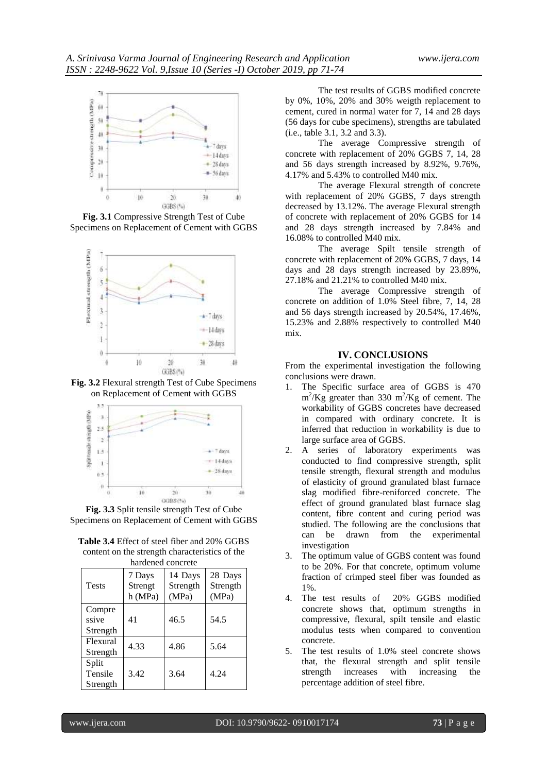

**Fig. 3.1** Compressive Strength Test of Cube Specimens on Replacement of Cement with GGBS



**Fig. 3.2** Flexural strength Test of Cube Specimens on Replacement of Cement with GGBS



**Fig. 3.3** Split tensile strength Test of Cube Specimens on Replacement of Cement with GGBS

**Table 3.4** Effect of steel fiber and 20% GGBS content on the strength characteristics of the hardened concrete

| наниспси солстсте            |                              |                              |                              |
|------------------------------|------------------------------|------------------------------|------------------------------|
| <b>Tests</b>                 | 7 Days<br>Strengt<br>h (MPa) | 14 Days<br>Strength<br>(MPa) | 28 Days<br>Strength<br>(MPa) |
| Compre<br>ssive<br>Strength  | 41                           | 46.5                         | 54.5                         |
| Flexural<br>Strength         | 4.33                         | 4.86                         | 5.64                         |
| Split<br>Tensile<br>Strength | 3.42                         | 3.64                         | 4.24                         |

The test results of GGBS modified concrete by 0%, 10%, 20% and 30% weigth replacement to cement, cured in normal water for 7, 14 and 28 days (56 days for cube specimens), strengths are tabulated (i.e., table 3.1, 3.2 and 3.3).

The average Compressive strength of concrete with replacement of 20% GGBS 7, 14, 28 and 56 days strength increased by 8.92%, 9.76%, 4.17% and 5.43% to controlled M40 mix.

The average Flexural strength of concrete with replacement of 20% GGBS, 7 days strength decreased by 13.12%. The average Flexural strength of concrete with replacement of 20% GGBS for 14 and 28 days strength increased by 7.84% and 16.08% to controlled M40 mix.

The average Spilt tensile strength of concrete with replacement of 20% GGBS, 7 days, 14 days and 28 days strength increased by 23.89%, 27.18% and 21.21% to controlled M40 mix.

The average Compressive strength of concrete on addition of 1.0% Steel fibre, 7, 14, 28 and 56 days strength increased by 20.54%, 17.46%, 15.23% and 2.88% respectively to controlled M40 mix.

## **IV. CONCLUSIONS**

From the experimental investigation the following conclusions were drawn.

- 1. The Specific surface area of GGBS is 470  $\text{m}^2/\text{Kg}$  greater than 330 m<sup>2</sup>/Kg of cement. The workability of GGBS concretes have decreased in compared with ordinary concrete. It is inferred that reduction in workability is due to large surface area of GGBS.
- 2. A series of laboratory experiments was conducted to find compressive strength, split tensile strength, flexural strength and modulus of elasticity of ground granulated blast furnace slag modified fibre-reniforced concrete. The effect of ground granulated blast furnace slag content, fibre content and curing period was studied. The following are the conclusions that can be drawn from the experimental investigation
- 3. The optimum value of GGBS content was found to be 20%. For that concrete, optimum volume fraction of crimped steel fiber was founded as 1%.
- 4. The test results of 20% GGBS modified concrete shows that, optimum strengths in compressive, flexural, spilt tensile and elastic modulus tests when compared to convention concrete.
- 5. The test results of 1.0% steel concrete shows that, the flexural strength and split tensile strength increases with increasing the percentage addition of steel fibre.